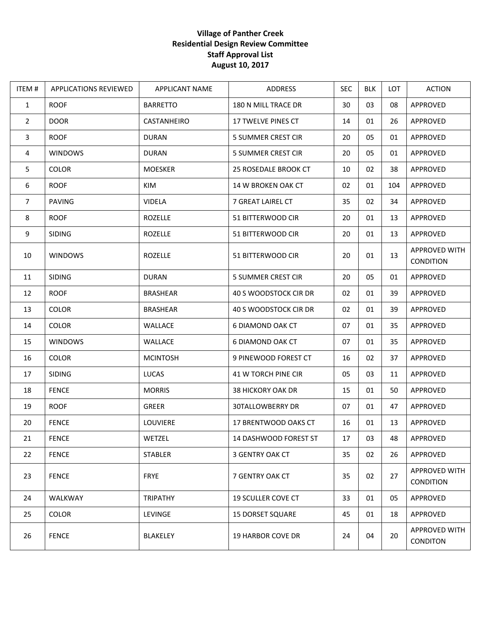## **Village of Panther Creek Residential Design Review Committee Staff Approval List August 10, 2017**

| ITEM#          | <b>APPLICATIONS REVIEWED</b> | <b>APPLICANT NAME</b> | <b>ADDRESS</b>            | <b>SEC</b> | <b>BLK</b> | LOT | <b>ACTION</b>                     |
|----------------|------------------------------|-----------------------|---------------------------|------------|------------|-----|-----------------------------------|
| $\mathbf{1}$   | <b>ROOF</b>                  | <b>BARRETTO</b>       | 180 N MILL TRACE DR       | 30         | 03         | 08  | APPROVED                          |
| $\overline{2}$ | <b>DOOR</b>                  | CASTANHEIRO           | 17 TWELVE PINES CT        | 14         | 01         | 26  | APPROVED                          |
| $\mathbf{3}$   | <b>ROOF</b>                  | <b>DURAN</b>          | <b>5 SUMMER CREST CIR</b> | 20         | 05         | 01  | APPROVED                          |
| 4              | <b>WINDOWS</b>               | <b>DURAN</b>          | <b>5 SUMMER CREST CIR</b> | 20         | 05         | 01  | APPROVED                          |
| 5              | <b>COLOR</b>                 | <b>MOESKER</b>        | 25 ROSEDALE BROOK CT      | 10         | 02         | 38  | APPROVED                          |
| 6              | <b>ROOF</b>                  | KIM                   | 14 W BROKEN OAK CT        | 02         | 01         | 104 | APPROVED                          |
| $\overline{7}$ | PAVING                       | <b>VIDELA</b>         | 7 GREAT LAIREL CT         | 35         | 02         | 34  | APPROVED                          |
| 8              | <b>ROOF</b>                  | <b>ROZELLE</b>        | 51 BITTERWOOD CIR         | 20         | 01         | 13  | APPROVED                          |
| 9              | <b>SIDING</b>                | <b>ROZELLE</b>        | 51 BITTERWOOD CIR         | 20         | 01         | 13  | APPROVED                          |
| 10             | <b>WINDOWS</b>               | <b>ROZELLE</b>        | 51 BITTERWOOD CIR         | 20         | 01         | 13  | <b>APPROVED WITH</b><br>CONDITION |
| 11             | <b>SIDING</b>                | <b>DURAN</b>          | 5 SUMMER CREST CIR        | 20         | 05         | 01  | APPROVED                          |
| 12             | <b>ROOF</b>                  | <b>BRASHEAR</b>       | 40 S WOODSTOCK CIR DR     | 02         | 01         | 39  | APPROVED                          |
| 13             | <b>COLOR</b>                 | <b>BRASHEAR</b>       | 40 S WOODSTOCK CIR DR     | 02         | 01         | 39  | APPROVED                          |
| 14             | <b>COLOR</b>                 | WALLACE               | 6 DIAMOND OAK CT          | 07         | 01         | 35  | APPROVED                          |
| 15             | <b>WINDOWS</b>               | WALLACE               | 6 DIAMOND OAK CT          | 07         | 01         | 35  | APPROVED                          |
| 16             | <b>COLOR</b>                 | <b>MCINTOSH</b>       | 9 PINEWOOD FOREST CT      | 16         | 02         | 37  | APPROVED                          |
| 17             | <b>SIDING</b>                | LUCAS                 | 41 W TORCH PINE CIR       | 05         | 03         | 11  | APPROVED                          |
| 18             | <b>FENCE</b>                 | <b>MORRIS</b>         | <b>38 HICKORY OAK DR</b>  | 15         | 01         | 50  | APPROVED                          |
| 19             | <b>ROOF</b>                  | <b>GREER</b>          | 30TALLOWBERRY DR          | 07         | 01         | 47  | APPROVED                          |
| 20             | <b>FENCE</b>                 | LOUVIERE              | 17 BRENTWOOD OAKS CT      | 16         | 01         | 13  | APPROVED                          |
| 21             | <b>FENCE</b>                 | WETZEL                | 14 DASHWOOD FOREST ST     | 17         | 03         | 48  | APPROVED                          |
| 22             | <b>FENCE</b>                 | <b>STABLER</b>        | 3 GENTRY OAK CT           | 35         | 02         | 26  | APPROVED                          |
| 23             | <b>FENCE</b>                 | <b>FRYE</b>           | 7 GENTRY OAK CT           | 35         | 02         | 27  | APPROVED WITH<br><b>CONDITION</b> |
| 24             | <b>WALKWAY</b>               | <b>TRIPATHY</b>       | <b>19 SCULLER COVE CT</b> | 33         | 01         | 05  | APPROVED                          |
| 25             | <b>COLOR</b>                 | LEVINGE               | <b>15 DORSET SQUARE</b>   | 45         | 01         | 18  | APPROVED                          |
| 26             | <b>FENCE</b>                 | BLAKELEY              | <b>19 HARBOR COVE DR</b>  | 24         | 04         | 20  | APPROVED WITH<br><b>CONDITON</b>  |